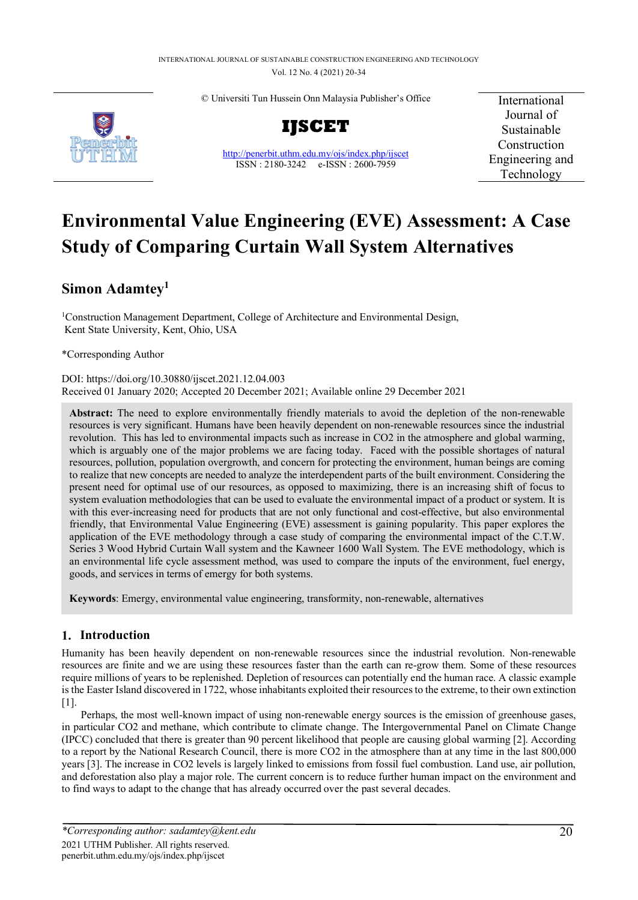© Universiti Tun Hussein Onn Malaysia Publisher's Office





<http://penerbit.uthm.edu.my/ojs/index.php/ijscet> ISSN : 2180-3242 e-ISSN : 2600-7959

International Journal of Sustainable Construction Engineering and Technology

# **Environmental Value Engineering (EVE) Assessment: A Case Study of Comparing Curtain Wall System Alternatives**

## **Simon Adamtey1**

1Construction Management Department, College of Architecture and Environmental Design, Kent State University, Kent, Ohio, USA

\*Corresponding Author

DOI[: https://doi.org/10.30880/ijscet.2021.12.04.003](https://doi.org/10.30880/ijscet.2021.12.04.003) Received 01 January 2020; Accepted 20 December 2021; Available online 29 December 2021

**Abstract:** The need to explore environmentally friendly materials to avoid the depletion of the non-renewable resources is very significant. Humans have been heavily dependent on non-renewable resources since the industrial revolution. This has led to environmental impacts such as increase in CO2 in the atmosphere and global warming, which is arguably one of the major problems we are facing today. Faced with the possible shortages of natural resources, pollution, population overgrowth, and concern for protecting the environment, human beings are coming to realize that new concepts are needed to analyze the interdependent parts of the built environment. Considering the present need for optimal use of our resources, as opposed to maximizing, there is an increasing shift of focus to system evaluation methodologies that can be used to evaluate the environmental impact of a product or system. It is with this ever-increasing need for products that are not only functional and cost-effective, but also environmental friendly, that Environmental Value Engineering (EVE) assessment is gaining popularity. This paper explores the application of the EVE methodology through a case study of comparing the environmental impact of the C.T.W. Series 3 Wood Hybrid Curtain Wall system and the Kawneer 1600 Wall System. The EVE methodology, which is an environmental life cycle assessment method, was used to compare the inputs of the environment, fuel energy, goods, and services in terms of emergy for both systems.

**Keywords**: Emergy, environmental value engineering, transformity, non-renewable, alternatives

## **1. Introduction**

Humanity has been heavily dependent on non-renewable resources since the industrial revolution. Non-renewable resources are finite and we are using these resources faster than the earth can re-grow them. Some of these resources require millions of years to be replenished. Depletion of resources can potentially end the human race. A classic example is the Easter Island discovered in 1722, whose inhabitants exploited their resources to the extreme, to their own extinction [1].

Perhaps, the most well-known impact of using non-renewable energy sources is the emission of greenhouse gases, in particular CO2 and methane, which contribute to climate change. The Intergovernmental Panel on Climate Change (IPCC) concluded that there is greater than 90 percent likelihood that people are causing global warming [2]. According to a report by the National Research Council, there is more CO2 in the atmosphere than at any time in the last 800,000 years [3]. The increase in CO2 levels is largely linked to emissions from fossil fuel combustion. Land use, air pollution, and deforestation also play a major role. The current concern is to reduce further human impact on the environment and to find ways to adapt to the change that has already occurred over the past several decades.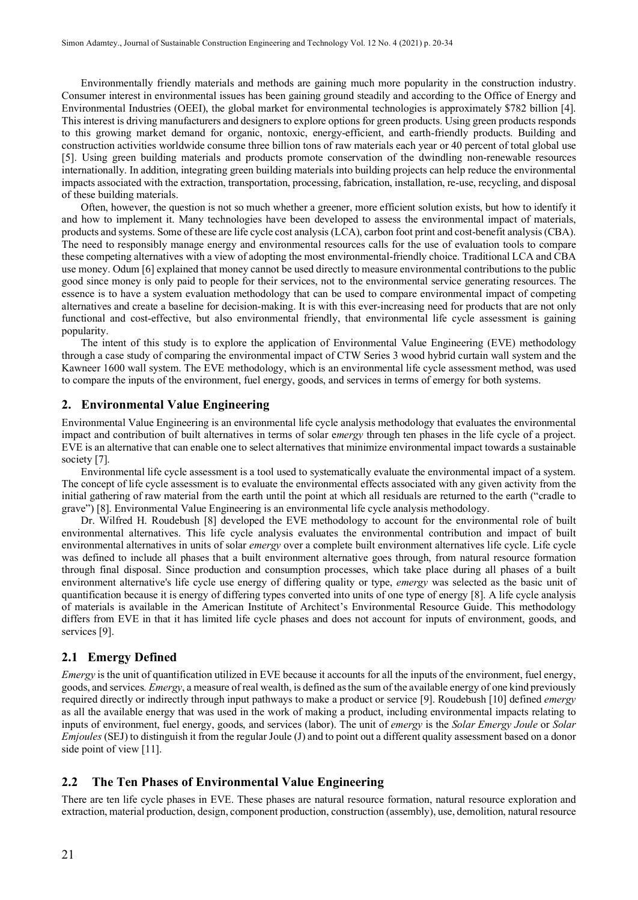Environmentally friendly materials and methods are gaining much more popularity in the construction industry. Consumer interest in environmental issues has been gaining ground steadily and according to the Office of Energy and Environmental Industries (OEEI), the global market for environmental technologies is approximately \$782 billion [4]. This interest is driving manufacturers and designers to explore options for green products. Using green products responds to this growing market demand for organic, nontoxic, energy-efficient, and earth-friendly products. Building and construction activities worldwide consume three billion tons of raw materials each year or 40 percent of total global use [5]. Using green building materials and products promote conservation of the dwindling non-renewable resources internationally. In addition, integrating green building materials into building projects can help reduce the environmental impacts associated with the extraction, transportation, processing, fabrication, installation, re-use, recycling, and disposal of these building materials.

Often, however, the question is not so much whether a greener, more efficient solution exists, but how to identify it and how to implement it. Many technologies have been developed to assess the environmental impact of materials, products and systems. Some of these are life cycle cost analysis (LCA), carbon foot print and cost-benefit analysis (CBA). The need to responsibly manage energy and environmental resources calls for the use of evaluation tools to compare these competing alternatives with a view of adopting the most environmental-friendly choice. Traditional LCA and CBA use money. Odum [6] explained that money cannot be used directly to measure environmental contributions to the public good since money is only paid to people for their services, not to the environmental service generating resources. The essence is to have a system evaluation methodology that can be used to compare environmental impact of competing alternatives and create a baseline for decision-making. It is with this ever-increasing need for products that are not only functional and cost-effective, but also environmental friendly, that environmental life cycle assessment is gaining popularity.

The intent of this study is to explore the application of Environmental Value Engineering (EVE) methodology through a case study of comparing the environmental impact of CTW Series 3 wood hybrid curtain wall system and the Kawneer 1600 wall system. The EVE methodology, which is an environmental life cycle assessment method, was used to compare the inputs of the environment, fuel energy, goods, and services in terms of emergy for both systems.

## **2. Environmental Value Engineering**

Environmental Value Engineering is an environmental life cycle analysis methodology that evaluates the environmental impact and contribution of built alternatives in terms of solar e*mergy* through ten phases in the life cycle of a project. EVE is an alternative that can enable one to select alternatives that minimize environmental impact towards a sustainable society [7].

Environmental life cycle assessment is a tool used to systematically evaluate the environmental impact of a system. The concept of life cycle assessment is to evaluate the environmental effects associated with any given activity from the initial gathering of raw material from the earth until the point at which all residuals are returned to the earth ("cradle to grave") [8]. Environmental Value Engineering is an environmental life cycle analysis methodology.

Dr. Wilfred H. Roudebush [8] developed the EVE methodology to account for the environmental role of built environmental alternatives. This life cycle analysis evaluates the environmental contribution and impact of built environmental alternatives in units of solar *emergy* over a complete built environment alternatives life cycle. Life cycle was defined to include all phases that a built environment alternative goes through, from natural resource formation through final disposal. Since production and consumption processes, which take place during all phases of a built environment alternative's life cycle use energy of differing quality or type, *emergy* was selected as the basic unit of quantification because it is energy of differing types converted into units of one type of energy [8]. A life cycle analysis of materials is available in the American Institute of Architect's Environmental Resource Guide. This methodology differs from EVE in that it has limited life cycle phases and does not account for inputs of environment, goods, and services [9].

## **2.1 Emergy Defined**

*Emergy* is the unit of quantification utilized in EVE because it accounts for all the inputs of the environment, fuel energy, goods, and services*. Emergy*, a measure of real wealth, is defined as the sum of the available energy of one kind previously required directly or indirectly through input pathways to make a product or service [9]. Roudebush [10] defined *emergy* as all the available energy that was used in the work of making a product, including environmental impacts relating to inputs of environment, fuel energy, goods, and services (labor). The unit of *emergy* is the *Solar Emergy Joule* or *Solar Emjoules* (SEJ) to distinguish it from the regular Joule (J) and to point out a different quality assessment based on a donor side point of view [11].

## **2.2 The Ten Phases of Environmental Value Engineering**

There are ten life cycle phases in EVE. These phases are natural resource formation, natural resource exploration and extraction, material production, design, component production, construction (assembly), use, demolition, natural resource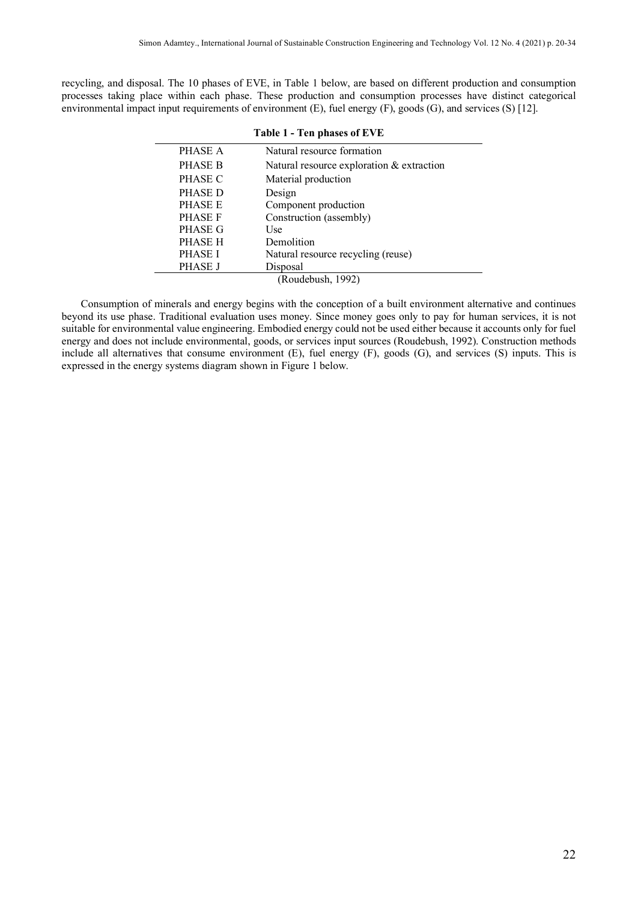recycling, and disposal. The 10 phases of EVE, in Table 1 below, are based on different production and consumption processes taking place within each phase. These production and consumption processes have distinct categorical environmental impact input requirements of environment (E), fuel energy (F), goods (G), and services (S) [12].

| Table 1 - Ten phases of EVE |                                           |  |  |  |
|-----------------------------|-------------------------------------------|--|--|--|
| PHASE A                     | Natural resource formation                |  |  |  |
| PHASE B                     | Natural resource exploration & extraction |  |  |  |
| PHASE C                     | Material production                       |  |  |  |
| PHASE D                     | Design                                    |  |  |  |
| PHASE E                     | Component production                      |  |  |  |
| PHASE F                     | Construction (assembly)                   |  |  |  |
| PHASE G                     | Use                                       |  |  |  |
| PHASE H                     | Demolition                                |  |  |  |
| PHASE I                     | Natural resource recycling (reuse)        |  |  |  |
| PHASE J                     | Disposal                                  |  |  |  |
| (Roudebush, 1992)           |                                           |  |  |  |

Consumption of minerals and energy begins with the conception of a built environment alternative and continues beyond its use phase. Traditional evaluation uses money. Since money goes only to pay for human services, it is not suitable for environmental value engineering. Embodied energy could not be used either because it accounts only for fuel energy and does not include environmental, goods, or services input sources (Roudebush, 1992). Construction methods include all alternatives that consume environment (E), fuel energy (F), goods (G), and services (S) inputs. This is expressed in the energy systems diagram shown in Figure 1 below.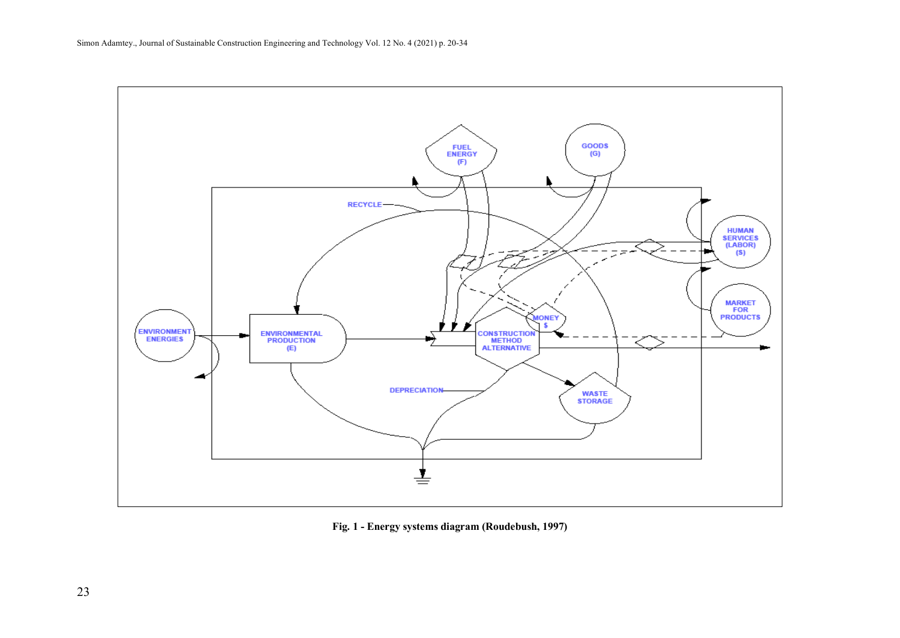

**Fig. 1 - Energy systems diagram (Roudebush, 1997)**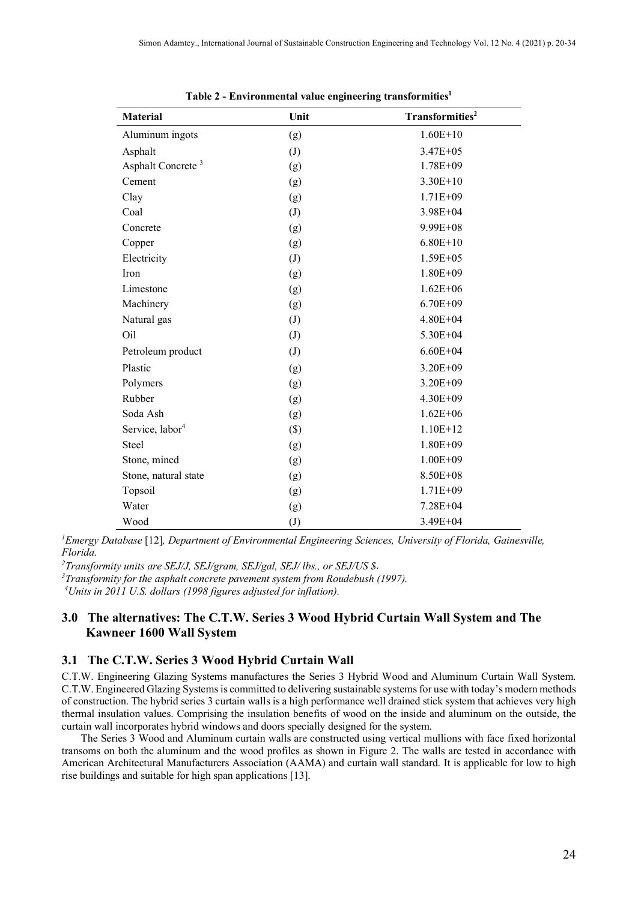| <b>Material</b>               | Unit              | Transformities <sup>2</sup> |
|-------------------------------|-------------------|-----------------------------|
| Aluminum ingots               | (g)               | $1.60E + 10$                |
| Asphalt                       | (J)               | $3.47E + 05$                |
| Asphalt Concrete <sup>3</sup> | (g)               | $1.78E + 09$                |
| Cement                        | (g)               | $3.30E+10$                  |
| Clay                          | (g)               | $1.71E + 09$                |
| Coal                          | (J)               | $3.98E + 04$                |
| Concrete                      | (g)               | 9.99E+08                    |
| Copper                        | (g)               | $6.80E+10$                  |
| Electricity                   | (J)               | $1.59E + 05$                |
| Iron                          | (g)               | $1.80E + 09$                |
| Limestone                     | (g)               | $1.62E + 06$                |
| Machinery                     | (g)               | $6.70E + 09$                |
| Natural gas                   | $\left( J\right)$ | $4.80E + 04$                |
| Oil                           | (J)               | 5.30E+04                    |
| Petroleum product             | $\left( J\right)$ | $6.60E + 04$                |
| Plastic                       | (g)               | $3.20E + 09$                |
| Polymers                      | (g)               | 3.20E+09                    |
| Rubber                        | (g)               | $4.30E + 09$                |
| Soda Ash                      | (g)               | $1.62E + 06$                |
| Service, labor <sup>4</sup>   | $(\$)$            | $1.10E+12$                  |
| Steel                         | (g)               | $1.80E + 09$                |
| Stone, mined                  | (g)               | $1.00E + 09$                |
| Stone, natural state          | (g)               | 8.50E+08                    |
| Topsoil                       | (g)               | $1.71E + 09$                |
| Water                         | (g)               | 7.28E+04                    |
| Wood                          | $\left( J\right)$ | 3.49E+04                    |

**Table 2 - Environmental value engineering transformities1**

*1 Emergy Database* [12]*, Department of Environmental Engineering Sciences, University of Florida, Gainesville, Florida.* 

*2 Transformity units are SEJ/J, SEJ/gram, SEJ/gal, SEJ/ lbs., or SEJ/US \$*.

*3 Transformity for the asphalt concrete pavement system from Roudebush (1997). 4 Units in 2011 U.S. dollars (1998 figures adjusted for inflation).*

## **3.0 The alternatives: The C.T.W. Series 3 Wood Hybrid Curtain Wall System and The Kawneer 1600 Wall System**

## **3.1 The C.T.W. Series 3 Wood Hybrid Curtain Wall**

C.T.W. Engineering Glazing Systems manufactures the Series 3 Hybrid Wood and Aluminum Curtain Wall System. C.T.W. Engineered Glazing Systems is committed to delivering sustainable systems for use with today's modern methods of construction. The hybrid series 3 curtain walls is a high performance well drained stick system that achieves very high thermal insulation values. Comprising the insulation benefits of wood on the inside and aluminum on the outside, the curtain wall incorporates hybrid windows and doors specially designed for the system.

The Series 3 Wood and Aluminum curtain walls are constructed using vertical mullions with face fixed horizontal transoms on both the aluminum and the wood profiles as shown in Figure 2. The walls are tested in accordance with American Architectural Manufacturers Association (AAMA) and curtain wall standard. It is applicable for low to high rise buildings and suitable for high span applications [13].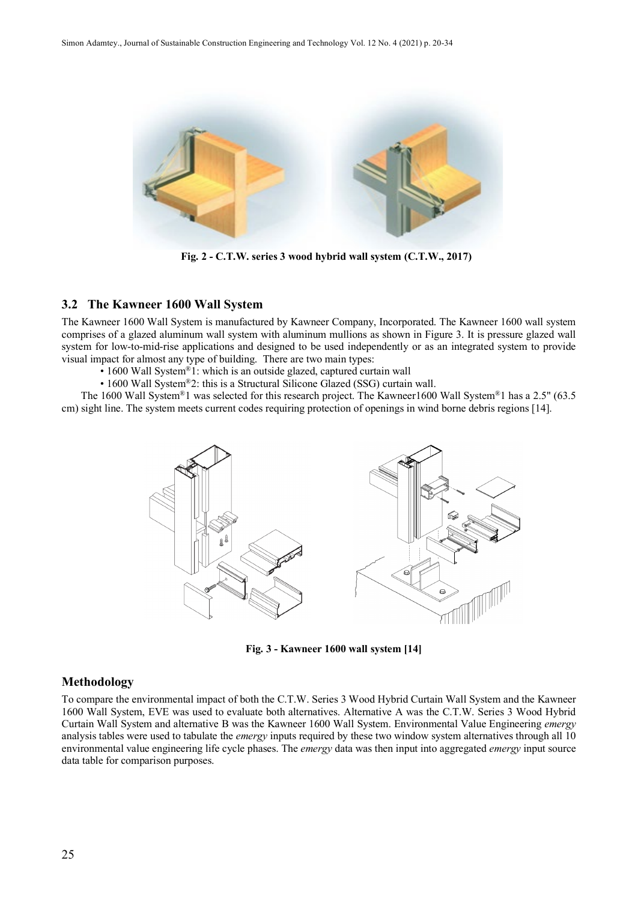

**Fig. 2 - C.T.W. series 3 wood hybrid wall system (C.T.W., 2017)**

## **3.2 The Kawneer 1600 Wall System**

The Kawneer 1600 Wall System is manufactured by Kawneer Company, Incorporated. The Kawneer 1600 wall system comprises of a glazed aluminum wall system with aluminum mullions as shown in Figure 3. It is pressure glazed wall system for low-to-mid-rise applications and designed to be used independently or as an integrated system to provide visual impact for almost any type of building. There are two main types:

- 1600 Wall System®1: which is an outside glazed, captured curtain wall
- 1600 Wall System®2: this is a Structural Silicone Glazed (SSG) curtain wall.

The 1600 Wall System®1 was selected for this research project. The Kawneer1600 Wall System®1 has a 2.5" (63.5 cm) sight line. The system meets current codes requiring protection of openings in wind borne debris regions [14].



**Fig. 3 - Kawneer 1600 wall system [14]**

## **Methodology**

To compare the environmental impact of both the C.T.W. Series 3 Wood Hybrid Curtain Wall System and the Kawneer 1600 Wall System, EVE was used to evaluate both alternatives. Alternative A was the C.T.W. Series 3 Wood Hybrid Curtain Wall System and alternative B was the Kawneer 1600 Wall System. Environmental Value Engineering *emergy* analysis tables were used to tabulate the *emergy* inputs required by these two window system alternatives through all 10 environmental value engineering life cycle phases. The *emergy* data was then input into aggregated *emergy* input source data table for comparison purposes.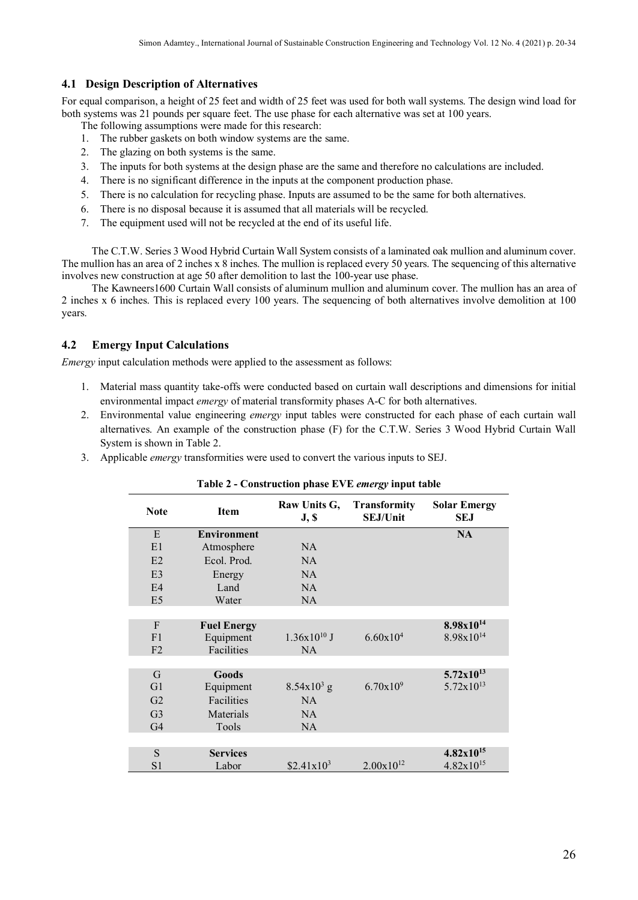## **4.1 Design Description of Alternatives**

For equal comparison, a height of 25 feet and width of 25 feet was used for both wall systems. The design wind load for both systems was 21 pounds per square feet. The use phase for each alternative was set at 100 years.

The following assumptions were made for this research:

- 1. The rubber gaskets on both window systems are the same.
- 2. The glazing on both systems is the same.
- 3. The inputs for both systems at the design phase are the same and therefore no calculations are included.
- 4. There is no significant difference in the inputs at the component production phase.
- 5. There is no calculation for recycling phase. Inputs are assumed to be the same for both alternatives.
- 6. There is no disposal because it is assumed that all materials will be recycled.
- 7. The equipment used will not be recycled at the end of its useful life.

The C.T.W. Series 3 Wood Hybrid Curtain Wall System consists of a laminated oak mullion and aluminum cover. The mullion has an area of 2 inches x 8 inches. The mullion is replaced every 50 years. The sequencing of this alternative involves new construction at age 50 after demolition to last the 100-year use phase.

The Kawneers1600 Curtain Wall consists of aluminum mullion and aluminum cover. The mullion has an area of 2 inches x 6 inches. This is replaced every 100 years. The sequencing of both alternatives involve demolition at 100 years.

## **4.2 Emergy Input Calculations**

*Emergy* input calculation methods were applied to the assessment as follows:

- 1. Material mass quantity take-offs were conducted based on curtain wall descriptions and dimensions for initial environmental impact *emergy* of material transformity phases A-C for both alternatives.
- 2. Environmental value engineering *emergy* input tables were constructed for each phase of each curtain wall alternatives. An example of the construction phase (F) for the C.T.W. Series 3 Wood Hybrid Curtain Wall System is shown in Table 2.
- 3. Applicable *emergy* transformities were used to convert the various inputs to SEJ.

| <b>Note</b>    | <b>Item</b>        | Raw Units G,<br>J, S | <b>Transformity</b><br><b>SEJ/Unit</b> | <b>Solar Emergy</b><br>SEJ |
|----------------|--------------------|----------------------|----------------------------------------|----------------------------|
| E              | <b>Environment</b> |                      |                                        | <b>NA</b>                  |
| E1             | Atmosphere         | NA                   |                                        |                            |
| E2             | Ecol. Prod.        | <b>NA</b>            |                                        |                            |
| E <sub>3</sub> | Energy             | <b>NA</b>            |                                        |                            |
| E4             | Land               | <b>NA</b>            |                                        |                            |
| E <sub>5</sub> | Water              | <b>NA</b>            |                                        |                            |
|                |                    |                      |                                        |                            |
| $\mathbf{F}$   | <b>Fuel Energy</b> |                      |                                        | $8.98x10^{14}$             |
| F1             | Equipment          | $1.36x10^{10}$ J     | $6.60 \times 10^{4}$                   | $8.98x10^{14}$             |
| F <sub>2</sub> | Facilities         | NA                   |                                        |                            |
|                |                    |                      |                                        |                            |
| G              | Goods              |                      |                                        | $5.72 \times 10^{13}$      |
| G1             | Equipment          | $8.54x10^{3}$ g      | $6.70 \times 10^{9}$                   | $5.72 \times 10^{13}$      |
| G <sub>2</sub> | Facilities         | <b>NA</b>            |                                        |                            |
| G <sub>3</sub> | Materials          | <b>NA</b>            |                                        |                            |
| G <sub>4</sub> | Tools              | <b>NA</b>            |                                        |                            |
|                |                    |                      |                                        |                            |
| S              | <b>Services</b>    |                      |                                        | $4.82 \times 10^{15}$      |
| S <sub>1</sub> | Labor              | $$2.41x10^3$         | $2.00x10^{12}$                         | $4.82 \times 10^{15}$      |

## **Table 2 - Construction phase EVE** *emergy* **input table**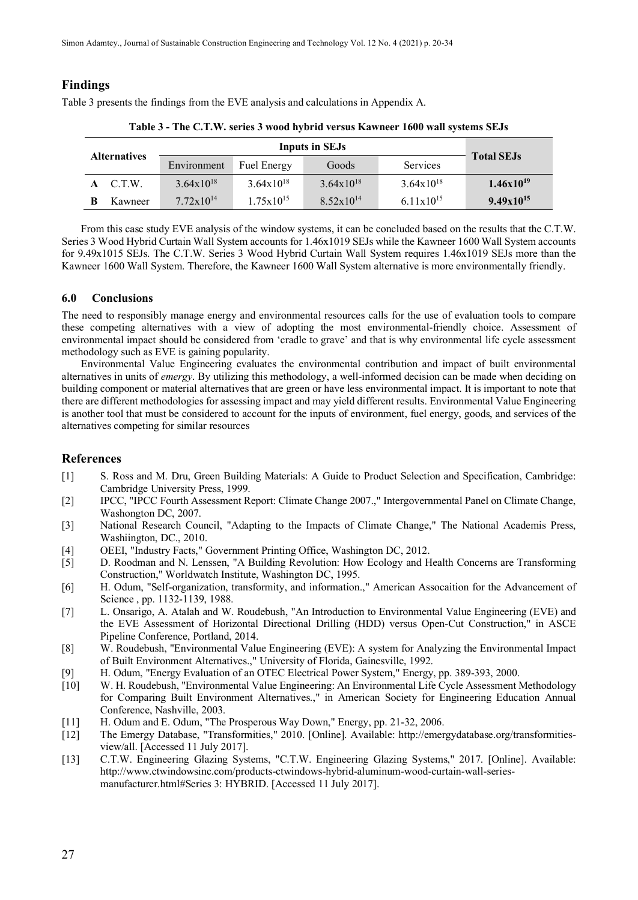## **Findings**

Table 3 presents the findings from the EVE analysis and calculations in Appendix A.

| <b>Alternatives</b> |         | <b>Inputs in SEJs</b> |                       |                       |                       |                   |
|---------------------|---------|-----------------------|-----------------------|-----------------------|-----------------------|-------------------|
|                     |         | Environment           | <b>Fuel Energy</b>    | Goods                 | Services              | <b>Total SEJs</b> |
|                     | C.T.W.  | $3.64 \times 10^{18}$ | $3.64 \times 10^{18}$ | $3.64 \times 10^{18}$ | $3.64 \times 10^{18}$ | $1.46x10^{19}$    |
|                     | Kawneer | $7.72 \times 10^{14}$ | $1.75 \times 10^{15}$ | $8.52 \times 10^{14}$ | $6.11x10^{15}$        | $9.49x10^{15}$    |

**Table 3 - The C.T.W. series 3 wood hybrid versus Kawneer 1600 wall systems SEJs**

From this case study EVE analysis of the window systems, it can be concluded based on the results that the C.T.W. Series 3 Wood Hybrid Curtain Wall System accounts for 1.46x1019 SEJs while the Kawneer 1600 Wall System accounts for 9.49x1015 SEJs. The C.T.W. Series 3 Wood Hybrid Curtain Wall System requires 1.46x1019 SEJs more than the Kawneer 1600 Wall System. Therefore, the Kawneer 1600 Wall System alternative is more environmentally friendly.

## **6.0 Conclusions**

The need to responsibly manage energy and environmental resources calls for the use of evaluation tools to compare these competing alternatives with a view of adopting the most environmental-friendly choice. Assessment of environmental impact should be considered from 'cradle to grave' and that is why environmental life cycle assessment methodology such as EVE is gaining popularity.

Environmental Value Engineering evaluates the environmental contribution and impact of built environmental alternatives in units of *emergy*. By utilizing this methodology, a well-informed decision can be made when deciding on building component or material alternatives that are green or have less environmental impact. It is important to note that there are different methodologies for assessing impact and may yield different results. Environmental Value Engineering is another tool that must be considered to account for the inputs of environment, fuel energy, goods, and services of the alternatives competing for similar resources

## **References**

- [1] S. Ross and M. Dru, Green Building Materials: A Guide to Product Selection and Specification, Cambridge: Cambridge University Press, 1999.
- [2] IPCC, "IPCC Fourth Assessment Report: Climate Change 2007.," Intergovernmental Panel on Climate Change, Washongton DC, 2007.
- [3] National Research Council, "Adapting to the Impacts of Climate Change," The National Academis Press, Washiington, DC., 2010.
- [4] OEEI, "Industry Facts," Government Printing Office, Washington DC, 2012.<br>[5] D. Roodman and N. Lenssen, "A Building Revolution: How Ecology and H
- [5] D. Roodman and N. Lenssen, "A Building Revolution: How Ecology and Health Concerns are Transforming Construction," Worldwatch Institute, Washington DC, 1995.
- [6] H. Odum, "Self-organization, transformity, and information.," American Assocaition for the Advancement of Science , pp. 1132-1139, 1988.
- [7] L. Onsarigo, A. Atalah and W. Roudebush, "An Introduction to Environmental Value Engineering (EVE) and the EVE Assessment of Horizontal Directional Drilling (HDD) versus Open-Cut Construction," in ASCE Pipeline Conference, Portland, 2014.
- [8] W. Roudebush, "Environmental Value Engineering (EVE): A system for Analyzing the Environmental Impact of Built Environment Alternatives.," University of Florida, Gainesville, 1992.
- [9] H. Odum, "Energy Evaluation of an OTEC Electrical Power System," Energy, pp. 389-393, 2000.
- [10] W. H. Roudebush, "Environmental Value Engineering: An Environmental Life Cycle Assessment Methodology for Comparing Built Environment Alternatives.," in American Society for Engineering Education Annual Conference, Nashville, 2003.
- [11] H. Odum and E. Odum, "The Prosperous Way Down," Energy, pp. 21-32, 2006.
- [12] The Emergy Database, "Transformities," 2010. [Online]. Available: http://emergydatabase.org/transformitiesview/all. [Accessed 11 July 2017].
- [13] C.T.W. Engineering Glazing Systems, "C.T.W. Engineering Glazing Systems," 2017. [Online]. Available: http://www.ctwindowsinc.com/products-ctwindows-hybrid-aluminum-wood-curtain-wall-seriesmanufacturer.html#Series 3: HYBRID. [Accessed 11 July 2017].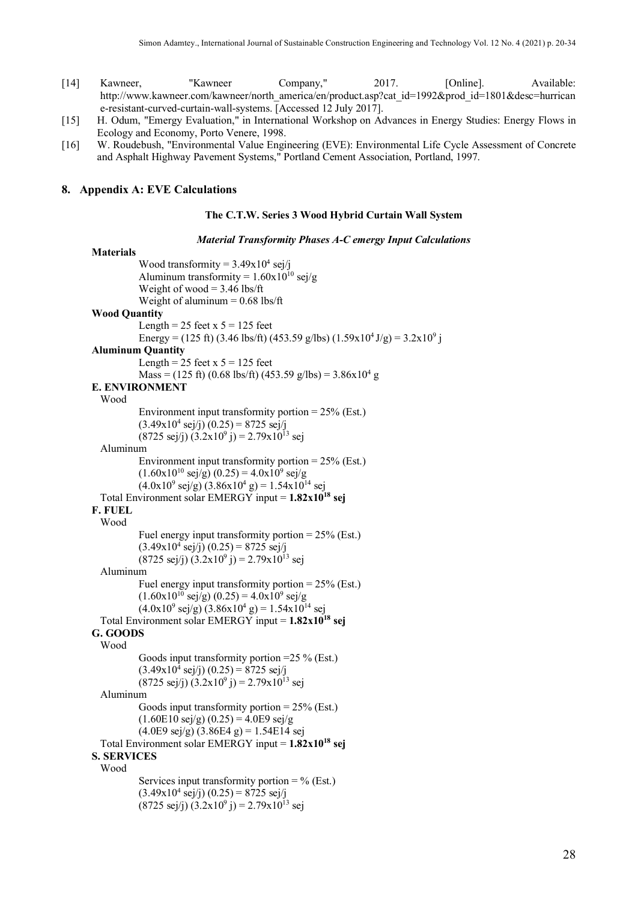- [14] Kawneer, "Kawneer Company," 2017. [Online]. Available: http://www.kawneer.com/kawneer/north\_america/en/product.asp?cat\_id=1992&prod\_id=1801&desc=hurrican e-resistant-curved-curtain-wall-systems. [Accessed 12 July 2017].
- [15] H. Odum, "Emergy Evaluation," in International Workshop on Advances in Energy Studies: Energy Flows in Ecology and Economy, Porto Venere, 1998.
- [16] W. Roudebush, "Environmental Value Engineering (EVE): Environmental Life Cycle Assessment of Concrete and Asphalt Highway Pavement Systems," Portland Cement Association, Portland, 1997.

#### **8. Appendix A: EVE Calculations**

#### **The C.T.W. Series 3 Wood Hybrid Curtain Wall System**

*Material Transformity Phases A-C emergy Input Calculations*

```
Materials
             Wood transformity = 3.49x10^4 sej/j
             Aluminum transformity = 1.60x10^{10} sej/g
             Weight of wood = 3.46 lbs/ft
             Weight of aluminum = 0.68 lbs/ft
Wood Quantity
             Length = 25 feet x 5 = 125 feet
             Energy = (125 ft) (3.46 lbs/ft) (453.59 g/lbs) (1.59x10<sup>4</sup> J/g) = 3.2x10<sup>9</sup> j
Aluminum Quantity
             Length = 25 feet x 5 = 125 feet
             Mass = (125 ft) (0.68 lbs/ft) (453.59 g/lbs) = 3.86x10<sup>4</sup> gE. ENVIRONMENT
  Wood
             Environment input transformity portion = 25\% (Est.)
             (3.49x10^4 \text{ sej/j}) (0.25) = 8725 \text{ sej/j}(8725 \text{ sej/j}) (3.2 \text{x} 10^9 \text{ j}) = 2.79 \text{x} 10^{13} \text{ sej}Aluminum
             Environment input transformity portion = 25% (Est.)
             (1.60x10^{10} \text{ sej/g}) (0.25) = 4.0x10^{9} \text{ sej/g}(4.0x10^9 \text{ sej/g}) (3.86x10^4 \text{ g}) = 1.54x10^{14} \text{ sej}Total Environment solar EMERGY input = 1.82x1018 sej
F. FUEL
  Wood
             Fuel energy input transformity portion = 25% (Est.)
             (3.49x10^4 \text{ sej/j}) (0.25) = 8725 \text{ sej/j}(8725 \text{ sej/}i)(3.2x10^9 i) = 2.79x10^{13} \text{ sej}Aluminum
             Fuel energy input transformity portion = 25% (Est.)
             (1.60x10^{10} \text{ sej/g}) (0.25) = 4.0x10^{9} \text{ sej/g}(4.0x10^9 \text{ sej/g}) (3.86x10^4 \text{ g}) = 1.54x10^{14} \text{ sej}Total Environment solar EMERGY input = 1.82x1018 sej
G. GOODS
  Wood
             Goods input transformity portion =25 % (Est.)
             (3.49x10^4 \text{ sej/j}) (0.25) = 8725 \text{ sej/j}(8725 \text{ sej/j}) (3.2 \text{x} 10^9 \text{ j}) = 2.79 \text{x} 10^{13} \text{ sej}Aluminum
             Goods input transformity portion = 25% (Est.)
             (1.60E10 \text{ sej/g}) (0.25) = 4.0E9 \text{ sej/g}(4.0E9 \text{ sej/g}) (3.86E4 \text{ g}) = 1.54E14 \text{ sej}Total Environment solar EMERGY input = 1.82x1018 sej
S. SERVICES
  Wood
             Services input transformity portion = \% (Est.)
             (3.49x10^4 \text{ sej/j}) (0.25) = 8725 \text{ sej/j}(8725 \text{ sej/j}) (3.2 \text{x} 10^9 \text{ j}) = 2.79 \text{x} 10^{13} \text{ sej}
```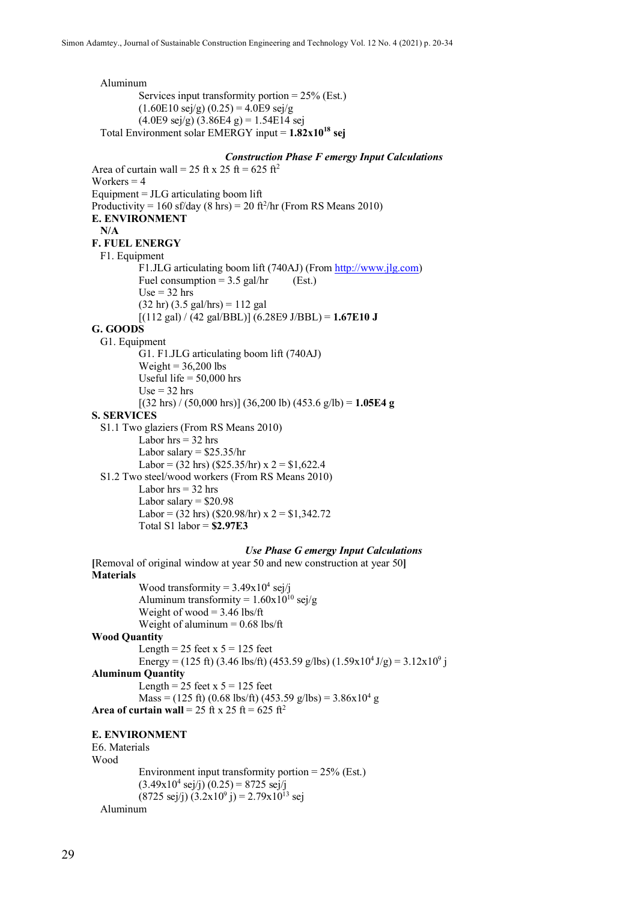Aluminum Services input transformity portion  $= 25\%$  (Est.)  $(1.60E10 \text{ sej/g}) (0.25) = 4.0E9 \text{ sej/g}$  $(4.0E9 \text{ sej/g}) (3.86E4 \text{ g}) = 1.54E14 \text{ sej}$ Total Environment solar EMERGY input = **1.82x1018 sej**

## *Construction Phase F emergy Input Calculations*

Area of curtain wall = 25 ft x 25 ft = 625 ft<sup>2</sup> Workers  $= 4$ Equipment  $=$  JLG articulating boom lift Productivity =  $160$  sf/day (8 hrs) =  $20$  ft<sup>2</sup>/hr (From RS Means 2010) **E. ENVIRONMENT N/A F. FUEL ENERGY** F1. Equipment F1.JLG articulating boom lift (740AJ) (Fro[m http://www.jlg.com\)](http://www.jlg.com/) Fuel consumption =  $3.5$  gal/hr (Est.)  $Use = 32 hrs$  $(32 \text{ hr}) (3.5 \text{ gal/hrs}) = 112 \text{ gal}$  $[(112 \text{ gal}) / (42 \text{ gal/BBL})] (6.28E9 \text{ J/BBL}) = 1.67E10 \text{ J}$ **G. GOODS** G1. Equipment G1. F1.JLG articulating boom lift (740AJ) Weight  $= 36,200$  lbs Useful life  $= 50,000$  hrs  $Use = 32 hrs$ [(32 hrs) / (50,000 hrs)] (36,200 lb) (453.6 g/lb) = **1.05E4 g S. SERVICES** S1.1 Two glaziers (From RS Means 2010) Labor  $hrs = 32$  hrs Labor salary  $=$  \$25.35/hr Labor =  $(32 \text{ hrs})$   $(\frac{$25.35}{hr})$  x  $2 = \$1,622.4$ S1.2 Two steel/wood workers (From RS Means 2010) Labor  $hrs = 32 hrs$ Labor salary  $=$  \$20.98 Labor =  $(32 \text{ hrs})$  (\$20.98/hr) x  $2 = $1,342.72$ Total S1 labor = **\$2.97E3** *Use Phase G emergy Input Calculations* **[**Removal of original window at year 50 and new construction at year 50**] Materials** Wood transformity =  $3.49x10^4$  sej/j Aluminum transformity =  $1.60x10^{10}$  sej/g Weight of wood  $=$  3.46 lbs/ft Weight of aluminum = 0.68 lbs/ft **Wood Quantity** Length =  $25$  feet x  $5 = 125$  feet Energy = (125 ft) (3.46 lbs/ft) (453.59 g/lbs) (1.59x10<sup>4</sup> J/g) = 3.12x10<sup>9</sup> j **Aluminum Quantity** Length =  $25$  feet x  $5 = 125$  feet  $Mass = (125 \text{ ft}) (0.68 \text{ lbs/ft}) (453.59 \text{ g/lbs}) = 3.86 \times 10^4 \text{ g}$ **Area of curtain wall** = 25 ft x 25 ft = 625 ft<sup>2</sup> **E. ENVIRONMENT** E6. Materials Wood Environment input transformity portion = 25% (Est.)  $(3.49x10^4 \text{ sej/j}) (0.25) = 8725 \text{ sej/j}$  $(8725 \text{ sej/j}) (3.2 \text{x} 10^9 \text{ j}) = 2.79 \text{x} 10^{13} \text{ sej}$ Aluminum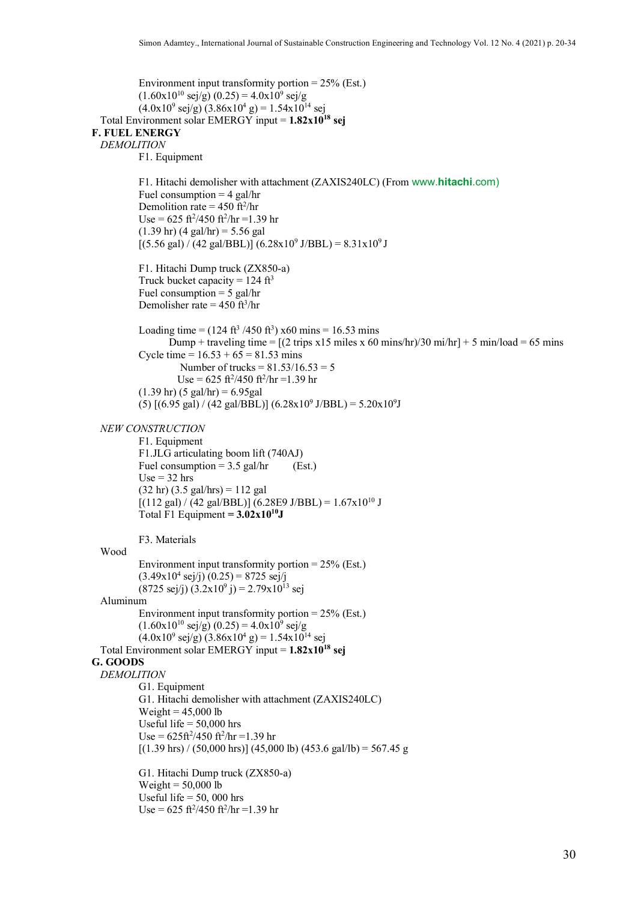```
Environment input transformity portion = 25\% (Est.)
              (1.60x10^{10} \text{ sej/g}) (0.25) = 4.0x10^{9} \text{ sej/g}(4.0x10<sup>9</sup> sej/g) (3.86x10<sup>4</sup> g) = 1.54x10<sup>14</sup> sej
  Total Environment solar EMERGY input = 1.82x1018 sej
F. FUEL ENERGY
  DEMOLITION
              F1. Equipment
              F1. Hitachi demolisher with attachment (ZAXIS240LC) (From www.hitachi.com)
              Fuel consumption = 4 gal/hr
              Demolition rate = 450 \text{ ft}^2/\text{hr}Use = 625 \frac{\text{ft}^2}{450} \frac{\text{ft}^2}{\text{hr}} = 1.39 \text{ hr}(1.39 \text{ hr}) (4 \text{ gal/hr}) = 5.56 \text{ gal}[(5.56 \text{ gal}) / (42 \text{ gal/BBL})] (6.28 \text{m})^9 \text{ J/BBL} = 8.31 \text{m}^3/\text{J}F1. Hitachi Dump truck (ZX850-a)
              Truck bucket capacity = 124 \text{ ft}^3Fuel consumption = 5 gal/hr
              Demolisher rate = 450 \text{ ft}^3/\text{hr}Loading time = (124 \text{ ft}^3 / 450 \text{ ft}^3) \times 60 \text{ mins} = 16.53 \text{ mins}Dump + traveling time = [(2 \text{ trips } x15 \text{ miles } x 60 \text{ mins/hr})/30 \text{ mi/hr}] + 5 \text{ min/load} = 65 \text{ mins}Cycle time = 16.53 + 65 = 81.53 mins
                          Number of trucks = 81.53/16.53 = 5
                          Use = 625 \frac{\text{ft}^2}{450} \frac{\text{ft}^2}{\text{hr}} = 1.39 \text{ hr}(1.39 \text{ hr}) (5 \text{ gal/hr}) = 6.95 \text{ gal}(5) [(6.95 gal) / (42 gal/BBL)] (6.28x10<sup>9</sup> J/BBL) = 5.20x10<sup>9</sup>J
  NEW CONSTRUCTION
              F1. Equipment
              F1.JLG articulating boom lift (740AJ)
              Fuel consumption = 3.5 gal/hr (Est.)
              Use = 32 hrs(32 \text{ hr}) (3.5 \text{ gal/hrs}) = 112 \text{ gal}[(112 \text{ gal}) / (42 \text{ gal/BBL})] (6.28E9 \text{ J/BBL}) = 1.67 \times 10^{10} \text{ J}Total F1 Equipment = 3.02 \times 10^{10}J
              F3. Materials
  Wood
              Environment input transformity portion = 25\% (Est.)
              (3.49x10^4 \text{ sej/j}) (0.25) = 8725 \text{ sej/j}(8725 \text{ sej/j}) (3.2 \text{x} 10^9 \text{ j}) = 2.79 \text{x} 10^{13} \text{ sej}Aluminum
              Environment input transformity portion = 25% (Est.)
              (1.60x10^{10} \text{ sej/g}) (0.25) = 4.0x10^{9} \text{ sej/g}(4.0x10^9 \text{ sej/g}) (3.86x10^4 \text{ g}) = 1.54x10^{14} \text{ sej}Total Environment solar EMERGY input = 1.82x1018 sej
G. GOODS
  DEMOLITION
              G1. Equipment
              G1. Hitachi demolisher with attachment (ZAXIS240LC)
              Weight = 45,000 lb
              Useful life = 50,000 hrs
              Use = 625 \frac{\text{ft}^2}{450} \frac{\text{ft}^2}{\text{hr}} = 1.39 \text{ hr}[(1.39 \text{ hrs}) / (50,000 \text{ hrs})] (45,000 lb) (453.6 gal/lb) = 567.45 g
              G1. Hitachi Dump truck (ZX850-a)
              Weight = 50,000 lb
              Useful life = 50, 000 hrs
              Use = 625 \frac{\text{ft}^2}{450} \frac{\text{ft}^2}{\text{hr}} = 1.39 \text{ hr}
```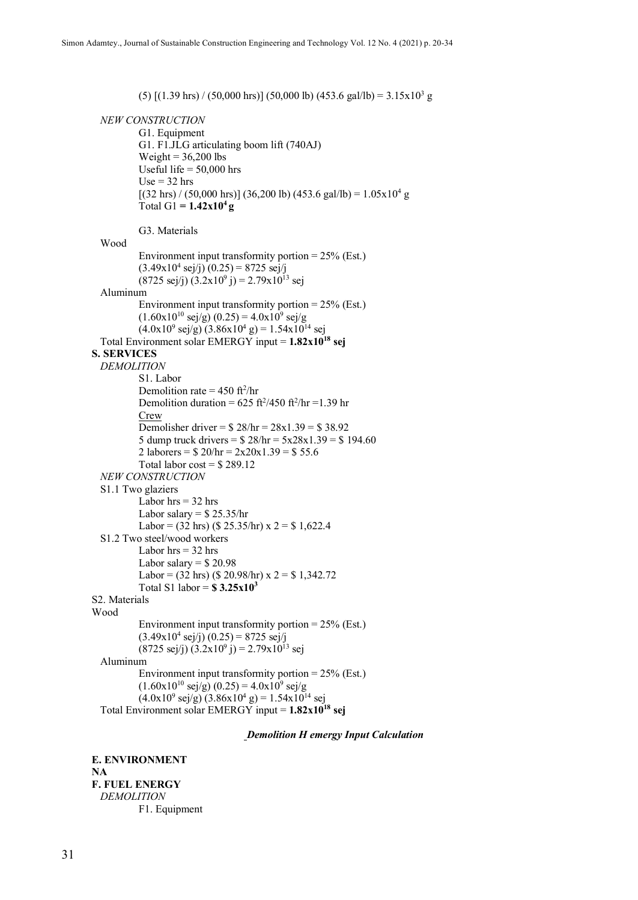(5)  $[(1.39 \text{ hrs}) / (50,000 \text{ hrs})] (50,000 \text{ lb}) (453.6 \text{ gal/lb}) = 3.15 \times 10^3 \text{ g}$ 

*NEW CONSTRUCTION*

G1. Equipment G1. F1.JLG articulating boom lift (740AJ) Weight =  $36,200$  lbs Useful life  $= 50,000$  hrs  $Use = 32 hrs$  $[(32 \text{ hrs}) / (50,000 \text{ hrs})] (36,200 \text{ lb}) (453.6 \text{ gal/lb}) = 1.05 \times 10^4 \text{ g}$ Total G1 =  $1.42x10^4 g$ 

G3. Materials

```
Wood
            Environment input transformity portion = 25\% (Est.)
            (3.49x10^4 \text{ sej/j}) (0.25) = 8725 \text{ sej/j}(8725 \text{ sej/j}) (3.2 \text{x} 10^9 \text{ j}) = 2.79 \text{x} 10^{13} \text{ sej}Aluminum
            Environment input transformity portion = 25% (Est.)
            (1.60x10^{10} \text{ sej/g}) (0.25) = 4.0x10^{9} \text{ sej/g}(4.0x10^9 \text{ sej/g}) (3.86x10^4 \text{ g}) = 1.54x10^{14} \text{ sej}Total Environment solar EMERGY input = 1.82x1018 sej
S. SERVICES
  DEMOLITION
            S1. Labor
             Demolition rate = 450 \text{ ft}^2/\text{hr}Demolition duration = 625 \text{ ft}^2/450 \text{ ft}^2/\text{hr} = 1.39 \text{ hr}Crew
            Demolisher driver = $ 28/hr = 28x1.39 = $ 38.925 dump truck drivers = $ 28/hr = 5x28x1.39 = $ 194.602 laborers = $ 20/hr = 2x20x1.39 = $ 55.6Total labor \cos t = $289.12NEW CONSTRUCTION
  S1.1 Two glaziers 
            Labor hrs = 32 hrs
            Labor salary = $25.35/hr
            Labor = (32 \text{ hrs}) ($ 25.35/hr) x 2 = $1,622.4S1.2 Two steel/wood workers
            Labor hrs = 32 hrs
            Labor salary = $20.98
            Labor = (32 \text{ hrs}) ($ 20.98/hr) x 2 = $1,342.72Total S1 labor = $ 3.25x103
S2. Materials
Wood
            Environment input transformity portion = 25% (Est.)
            (3.49x10^4 \text{ sej/j}) (0.25) = 8725 \text{ sej/j}(8725 \text{ sej/}i)(3.2x10^9 i) = 2.79x10^{13} \text{ sej}Aluminum
            Environment input transformity portion = 25% (Est.)
            (1.60x10^{10} \text{ sej/g}) (0.25) = 4.0x10^{9} \text{ sej/g}(4.0x10^9 \text{ sej/g}) (3.86x10^4 \text{ g}) = 1.54x10^{14} \text{ sej}Total Environment solar EMERGY input = 1.82x1018 sej
```
*Demolition H emergy Input Calculation*

**E. ENVIRONMENT NA F. FUEL ENERGY** *DEMOLITION* F1. Equipment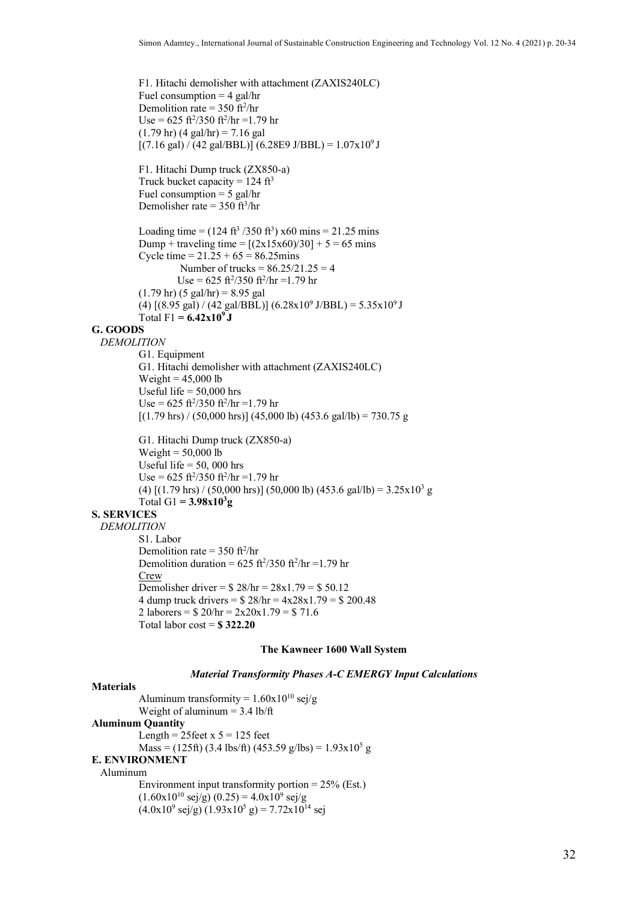F1. Hitachi demolisher with attachment (ZAXIS240LC) Fuel consumption  $=$  4 gal/hr Demolition rate =  $350 \text{ ft}^2/\text{hr}$  $Use = 625 \frac{\text{ft}^2}{350} \frac{\text{ft}^2}{\text{hr}} = 1.79 \text{ hr}$  $(1.79 \text{ hr}) (4 \text{ gal/hr}) = 7.16 \text{ gal}$  $[(7.16 \text{ gal}) / (42 \text{ gal/BBL})] (6.28E9 \text{ J/BBL}) = 1.07 \times 10^9 \text{ J}$ F1. Hitachi Dump truck (ZX850-a) Truck bucket capacity =  $124 \text{ ft}^3$ Fuel consumption  $= 5$  gal/hr Demolisher rate  $=$  350 ft<sup>3</sup>/hr Loading time =  $(124 \text{ ft}^3 / 350 \text{ ft}^3)$  x60 mins = 21.25 mins Dump + traveling time =  $[(2x15x60)/30] + 5 = 65$  mins Cycle time =  $21.25 + 65 = 86.25$  mins Number of trucks =  $86.25/21.25 = 4$  $Use = 625 \frac{\text{ft}^2}{350} \frac{\text{ft}^2}{\text{hr}} = 1.79 \text{ hr}$  $(1.79 \text{ hr}) (5 \text{ gal/hr}) = 8.95 \text{ gal}$ (4)  $[(8.95 \text{ gal}) / (42 \text{ gal/BBL})] (6.28 \text{m}^{\circ} \text{J/BBL}) = 5.35 \text{m}^{\circ} \text{J}$ Total F1 =  $6.42x10^{9}$  J **G. GOODS** *DEMOLITION* G1. Equipment G1. Hitachi demolisher with attachment (ZAXIS240LC) Weight =  $45,000$  lb Useful life = 50,000 hrs  $Use = 625 \frac{\text{ft}^2}{350} \frac{\text{ft}^2}{\text{hr}} = 1.79 \text{ hr}$  $[(1.79 \text{ hrs}) / (50,000 \text{ hrs})] (45,000 \text{ lb}) (453.6 \text{ gal/lb}) = 730.75 \text{ g}$ G1. Hitachi Dump truck (ZX850-a) Weight  $= 50,000$  lb Useful life  $= 50,000$  hrs  $Use = 625 \frac{\text{ft}^2}{350} \frac{\text{ft}^2}{\text{hr}} = 1.79 \text{ hr}$ (4)  $[(1.79 \text{ hrs}) / (50,000 \text{ hrs})] (50,000 \text{ lb}) (453.6 \text{ gal/lb}) = 3.25 \times 10^3 \text{ g}$  $Total G1 = 3.98x10^{3}g$ **S. SERVICES** *DEMOLITION* S1. Labor Demolition rate =  $350 \text{ ft}^2/\text{hr}$ Demolition duration =  $625 \text{ ft}^2/350 \text{ ft}^2/\text{hr} = 1.79 \text{ hr}$ Crew Demolisher driver =  $$ 28/hr = 28x1.79 = $ 50.12$ 4 dump truck drivers =  $$ 28/hr = 4x28x1.79 = $ 200.48$ 2 laborers =  $$ 20/hr = 2x20x1.79 = $ 71.6$ 

## Total labor cost = **\$ 322.20**

#### **The Kawneer 1600 Wall System**

#### *Material Transformity Phases A-C EMERGY Input Calculations*

## **Materials**

Aluminum transformity =  $1.60x10^{10}$  sej/g Weight of aluminum  $= 3.4$  lb/ft **Aluminum Quantity** Length =  $25$ feet x  $5 = 125$  feet  $Mass = (125 ft) (3.4 lbs/ft) (453.59 g/lbs) = 1.93x10<sup>5</sup> g$ **E. ENVIRONMENT** Aluminum Environment input transformity portion = 25% (Est.)  $(1.60x10^{10} \text{ sej/g}) (0.25) = 4.0x10^{9} \text{ sej/g}$ 

 $(4.0x10^9 \text{ sej/g}) (1.93x10^5 \text{ g}) = 7.72x10^{14} \text{ sej}$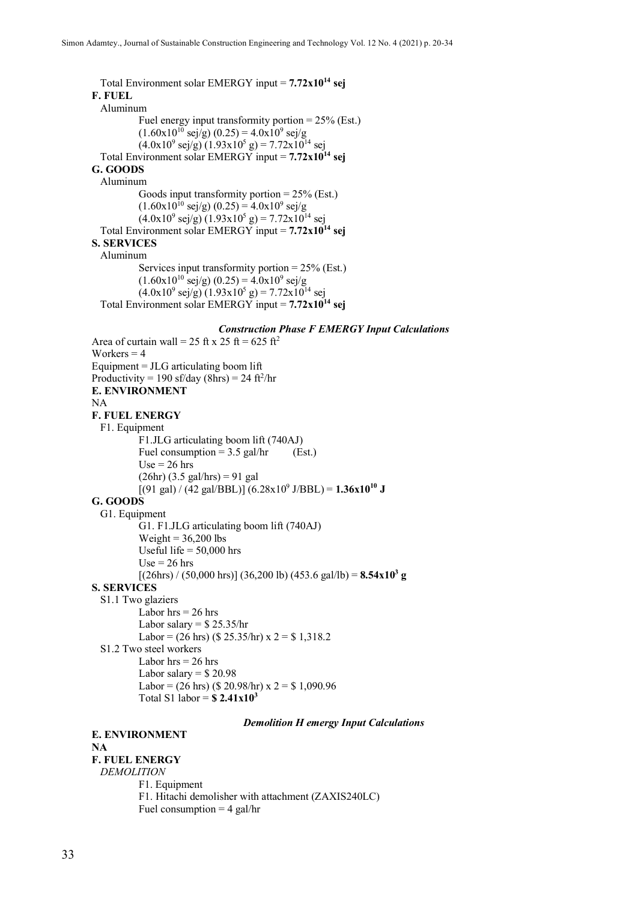Total Environment solar EMERGY input = **7.72x1014 sej F. FUEL** Aluminum Fuel energy input transformity portion = 25% (Est.)  $(1.60x10^{10} \text{ sej/g}) (0.25) = 4.0x10^{9} \text{ sej/g}$  $(4.0x10<sup>9</sup>$  sej/g)  $(1.93x10<sup>5</sup>$  g) = 7.72x10<sup>14</sup> sej Total Environment solar EMERGY input = **7.72x10<sup>14</sup> sej G. GOODS** Aluminum Goods input transformity portion  $= 25\%$  (Est.)  $(1.60x10^{10} \text{ sej/g}) (0.25) = 4.0x10^{9} \text{ sej/g}$  $(4.0x10^9 \text{ sej/g}) (1.93x10^5 \text{ g}) = 7.72x10^{14} \text{ sej}$ Total Environment solar EMERGY input = **7.72x10<sup>14</sup> sej S. SERVICES** Aluminum Services input transformity portion = 25% (Est.)  $(1.60 \text{x} 10^{10} \text{ sej/g}) (0.25) = 4.0 \text{x} 10^9 \text{ sej/g}$  $(4.0x10<sup>9</sup>$  sej/g)  $(1.93x10<sup>5</sup>$  g) = 7.72x10<sup>14</sup> sej Total Environment solar EMERGY input = **7.72x10<sup>14</sup> sej**

## *Construction Phase F EMERGY Input Calculations*

Area of curtain wall = 25 ft x 25 ft = 625 ft<sup>2</sup> Workers  $= 4$ Equipment = JLG articulating boom lift Productivity =  $190$  sf/day (8hrs) =  $24$  ft<sup>2</sup>/hr **E. ENVIRONMENT** NA **F. FUEL ENERGY** F1. Equipment F1.JLG articulating boom lift (740AJ) Fuel consumption =  $3.5$  gal/hr (Est.)  $Use = 26$  hrs  $(26hr) (3.5 gal/hrs) = 91 gal$  $[(91 \text{ gal}) / (42 \text{ gal/BBL})] (6.28 \text{ x} 10^9 \text{ J/BBL}) = 1.36 \text{ x} 10^{10} \text{ J}$ **G. GOODS** G1. Equipment G1. F1.JLG articulating boom lift (740AJ) Weight =  $36,200$  lbs Useful life  $= 50,000$  hrs  $Use = 26$  hrs  $[(26\text{hrs}) / (50,000 \text{ hrs})] (36,200 \text{ lb}) (453.6 \text{ gal/lb}) = 8.54 \text{ x} 10^3 \text{ g}$ **S. SERVICES** S1.1 Two glaziers Labor  $hrs = 26$  hrs Labor salary  $=$  \$ 25.35/hr Labor =  $(26 \text{ hrs})$  (\$ 25.35/hr) x  $2 = $1,318.2$ S1.2 Two steel workers Labor  $hrs = 26$  hrs Labor salary  $=$  \$20.98 Labor =  $(26 \text{ hrs})$  (\$ 20.98/hr) x  $2 = $1,090.96$ Total S1 labor = **\$ 2.41x10<sup>3</sup>**

#### *Demolition H emergy Input Calculations*

## **E. ENVIRONMENT**

#### **NA F. FUEL ENERGY**

*DEMOLITION* F1. Equipment F1. Hitachi demolisher with attachment (ZAXIS240LC) Fuel consumption  $=$  4 gal/hr